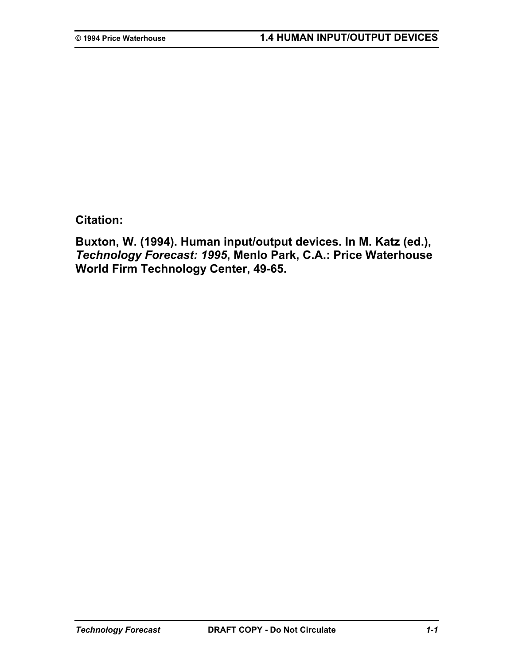**Citation:** 

**Buxton, W. (1994). Human input/output devices. In M. Katz (ed.),**  *Technology Forecast: 1995***, Menlo Park, C.A.: Price Waterhouse World Firm Technology Center, 49-65.**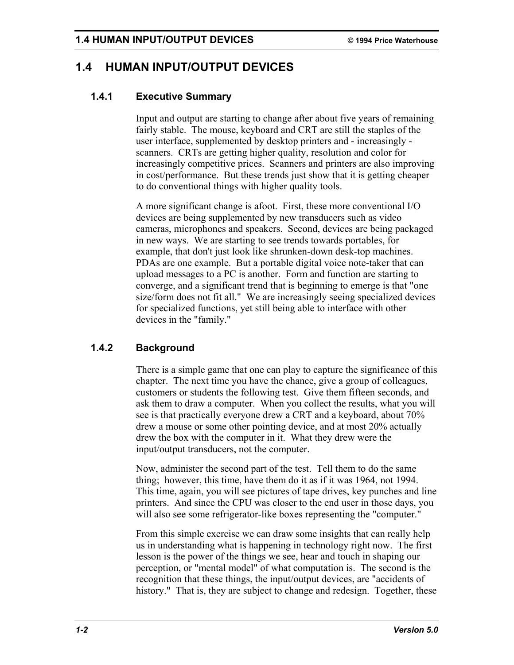# **1.4 HUMAN INPUT/OUTPUT DEVICES**

## **1.4.1 Executive Summary**

Input and output are starting to change after about five years of remaining fairly stable. The mouse, keyboard and CRT are still the staples of the user interface, supplemented by desktop printers and - increasingly scanners. CRTs are getting higher quality, resolution and color for increasingly competitive prices. Scanners and printers are also improving in cost/performance. But these trends just show that it is getting cheaper to do conventional things with higher quality tools.

A more significant change is afoot. First, these more conventional I/O devices are being supplemented by new transducers such as video cameras, microphones and speakers. Second, devices are being packaged in new ways. We are starting to see trends towards portables, for example, that don't just look like shrunken-down desk-top machines. PDAs are one example. But a portable digital voice note-taker that can upload messages to a PC is another. Form and function are starting to converge, and a significant trend that is beginning to emerge is that "one size/form does not fit all." We are increasingly seeing specialized devices for specialized functions, yet still being able to interface with other devices in the "family."

# **1.4.2 Background**

There is a simple game that one can play to capture the significance of this chapter. The next time you have the chance, give a group of colleagues, customers or students the following test. Give them fifteen seconds, and ask them to draw a computer. When you collect the results, what you will see is that practically everyone drew a CRT and a keyboard, about 70% drew a mouse or some other pointing device, and at most 20% actually drew the box with the computer in it. What they drew were the input/output transducers, not the computer.

Now, administer the second part of the test. Tell them to do the same thing; however, this time, have them do it as if it was 1964, not 1994. This time, again, you will see pictures of tape drives, key punches and line printers. And since the CPU was closer to the end user in those days, you will also see some refrigerator-like boxes representing the "computer."

From this simple exercise we can draw some insights that can really help us in understanding what is happening in technology right now. The first lesson is the power of the things we see, hear and touch in shaping our perception, or "mental model" of what computation is. The second is the recognition that these things, the input/output devices, are "accidents of history." That is, they are subject to change and redesign. Together, these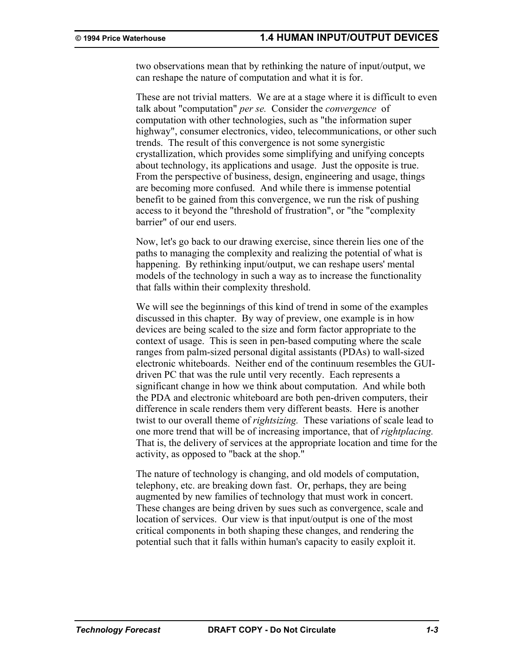two observations mean that by rethinking the nature of input/output, we can reshape the nature of computation and what it is for.

These are not trivial matters. We are at a stage where it is difficult to even talk about "computation" *per se.* Consider the *convergence* of computation with other technologies, such as "the information super highway", consumer electronics, video, telecommunications, or other such trends. The result of this convergence is not some synergistic crystallization, which provides some simplifying and unifying concepts about technology, its applications and usage. Just the opposite is true. From the perspective of business, design, engineering and usage, things are becoming more confused. And while there is immense potential benefit to be gained from this convergence, we run the risk of pushing access to it beyond the "threshold of frustration", or "the "complexity barrier" of our end users.

Now, let's go back to our drawing exercise, since therein lies one of the paths to managing the complexity and realizing the potential of what is happening. By rethinking input/output, we can reshape users' mental models of the technology in such a way as to increase the functionality that falls within their complexity threshold.

We will see the beginnings of this kind of trend in some of the examples discussed in this chapter. By way of preview, one example is in how devices are being scaled to the size and form factor appropriate to the context of usage. This is seen in pen-based computing where the scale ranges from palm-sized personal digital assistants (PDAs) to wall-sized electronic whiteboards. Neither end of the continuum resembles the GUIdriven PC that was the rule until very recently. Each represents a significant change in how we think about computation. And while both the PDA and electronic whiteboard are both pen-driven computers, their difference in scale renders them very different beasts. Here is another twist to our overall theme of *rightsizing.* These variations of scale lead to one more trend that will be of increasing importance, that of *rightplacing.* That is, the delivery of services at the appropriate location and time for the activity, as opposed to "back at the shop."

The nature of technology is changing, and old models of computation, telephony, etc. are breaking down fast. Or, perhaps, they are being augmented by new families of technology that must work in concert. These changes are being driven by sues such as convergence, scale and location of services. Our view is that input/output is one of the most critical components in both shaping these changes, and rendering the potential such that it falls within human's capacity to easily exploit it.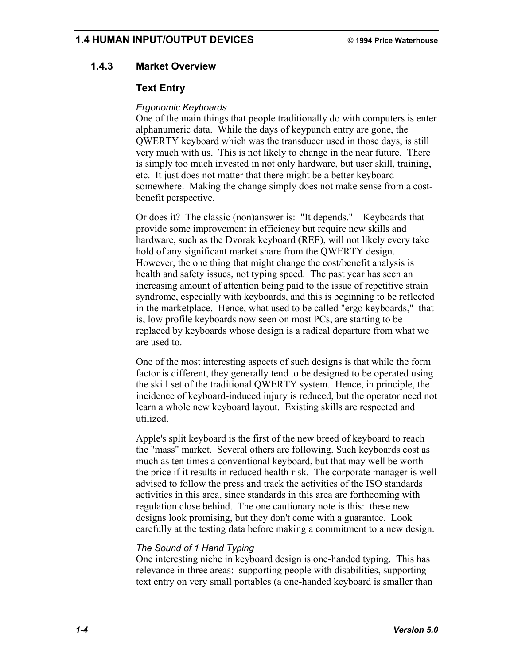## **1.4.3 Market Overview**

## **Text Entry**

### *Ergonomic Keyboards*

One of the main things that people traditionally do with computers is enter alphanumeric data. While the days of keypunch entry are gone, the QWERTY keyboard which was the transducer used in those days, is still very much with us. This is not likely to change in the near future. There is simply too much invested in not only hardware, but user skill, training, etc. It just does not matter that there might be a better keyboard somewhere. Making the change simply does not make sense from a costbenefit perspective.

Or does it? The classic (non)answer is: "It depends." Keyboards that provide some improvement in efficiency but require new skills and hardware, such as the Dvorak keyboard (REF), will not likely every take hold of any significant market share from the QWERTY design. However, the one thing that might change the cost/benefit analysis is health and safety issues, not typing speed. The past year has seen an increasing amount of attention being paid to the issue of repetitive strain syndrome, especially with keyboards, and this is beginning to be reflected in the marketplace. Hence, what used to be called "ergo keyboards," that is, low profile keyboards now seen on most PCs, are starting to be replaced by keyboards whose design is a radical departure from what we are used to.

One of the most interesting aspects of such designs is that while the form factor is different, they generally tend to be designed to be operated using the skill set of the traditional QWERTY system. Hence, in principle, the incidence of keyboard-induced injury is reduced, but the operator need not learn a whole new keyboard layout. Existing skills are respected and utilized.

Apple's split keyboard is the first of the new breed of keyboard to reach the "mass" market. Several others are following. Such keyboards cost as much as ten times a conventional keyboard, but that may well be worth the price if it results in reduced health risk. The corporate manager is well advised to follow the press and track the activities of the ISO standards activities in this area, since standards in this area are forthcoming with regulation close behind. The one cautionary note is this: these new designs look promising, but they don't come with a guarantee. Look carefully at the testing data before making a commitment to a new design.

#### *The Sound of 1 Hand Typing*

One interesting niche in keyboard design is one-handed typing. This has relevance in three areas: supporting people with disabilities, supporting text entry on very small portables (a one-handed keyboard is smaller than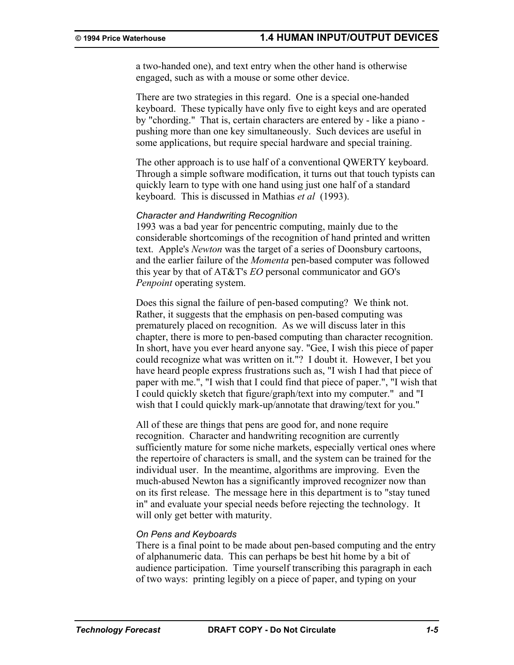a two-handed one), and text entry when the other hand is otherwise engaged, such as with a mouse or some other device.

There are two strategies in this regard. One is a special one-handed keyboard. These typically have only five to eight keys and are operated by "chording." That is, certain characters are entered by - like a piano pushing more than one key simultaneously. Such devices are useful in some applications, but require special hardware and special training.

The other approach is to use half of a conventional QWERTY keyboard. Through a simple software modification, it turns out that touch typists can quickly learn to type with one hand using just one half of a standard keyboard. This is discussed in Mathias *et al* (1993).

#### *Character and Handwriting Recognition*

1993 was a bad year for pencentric computing, mainly due to the considerable shortcomings of the recognition of hand printed and written text. Apple's *Newton* was the target of a series of Doonsbury cartoons, and the earlier failure of the *Momenta* pen-based computer was followed this year by that of AT&T's *EO* personal communicator and GO's *Penpoint* operating system.

Does this signal the failure of pen-based computing? We think not. Rather, it suggests that the emphasis on pen-based computing was prematurely placed on recognition. As we will discuss later in this chapter, there is more to pen-based computing than character recognition. In short, have you ever heard anyone say. "Gee, I wish this piece of paper could recognize what was written on it."? I doubt it. However, I bet you have heard people express frustrations such as, "I wish I had that piece of paper with me.", "I wish that I could find that piece of paper.", "I wish that I could quickly sketch that figure/graph/text into my computer." and "I wish that I could quickly mark-up/annotate that drawing/text for you."

All of these are things that pens are good for, and none require recognition. Character and handwriting recognition are currently sufficiently mature for some niche markets, especially vertical ones where the repertoire of characters is small, and the system can be trained for the individual user. In the meantime, algorithms are improving. Even the much-abused Newton has a significantly improved recognizer now than on its first release. The message here in this department is to "stay tuned in" and evaluate your special needs before rejecting the technology. It will only get better with maturity.

#### *On Pens and Keyboards*

There is a final point to be made about pen-based computing and the entry of alphanumeric data. This can perhaps be best hit home by a bit of audience participation. Time yourself transcribing this paragraph in each of two ways: printing legibly on a piece of paper, and typing on your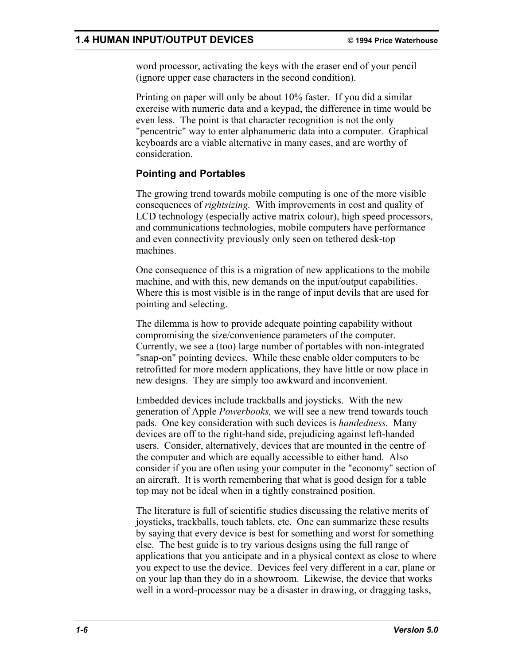word processor, activating the keys with the eraser end of your pencil (ignore upper case characters in the second condition).

Printing on paper will only be about 10% faster. If you did a similar exercise with numeric data and a keypad, the difference in time would be even less. The point is that character recognition is not the only "pencentric" way to enter alphanumeric data into a computer. Graphical keyboards are a viable alternative in many cases, and are worthy of consideration.

## **Pointing and Portables**

The growing trend towards mobile computing is one of the more visible consequences of *rightsizing.* With improvements in cost and quality of LCD technology (especially active matrix colour), high speed processors, and communications technologies, mobile computers have performance and even connectivity previously only seen on tethered desk-top machines.

One consequence of this is a migration of new applications to the mobile machine, and with this, new demands on the input/output capabilities. Where this is most visible is in the range of input devils that are used for pointing and selecting.

The dilemma is how to provide adequate pointing capability without compromising the size/convenience parameters of the computer. Currently, we see a (too) large number of portables with non-integrated "snap-on" pointing devices. While these enable older computers to be retrofitted for more modern applications, they have little or now place in new designs. They are simply too awkward and inconvenient.

Embedded devices include trackballs and joysticks. With the new generation of Apple *Powerbooks,* we will see a new trend towards touch pads. One key consideration with such devices is *handedness.* Many devices are off to the right-hand side, prejudicing against left-handed users. Consider, alternatively, devices that are mounted in the centre of the computer and which are equally accessible to either hand. Also consider if you are often using your computer in the "economy" section of an aircraft. It is worth remembering that what is good design for a table top may not be ideal when in a tightly constrained position.

The literature is full of scientific studies discussing the relative merits of joysticks, trackballs, touch tablets, etc. One can summarize these results by saying that every device is best for something and worst for something else. The best guide is to try various designs using the full range of applications that you anticipate and in a physical context as close to where you expect to use the device. Devices feel very different in a car, plane or on your lap than they do in a showroom. Likewise, the device that works well in a word-processor may be a disaster in drawing, or dragging tasks,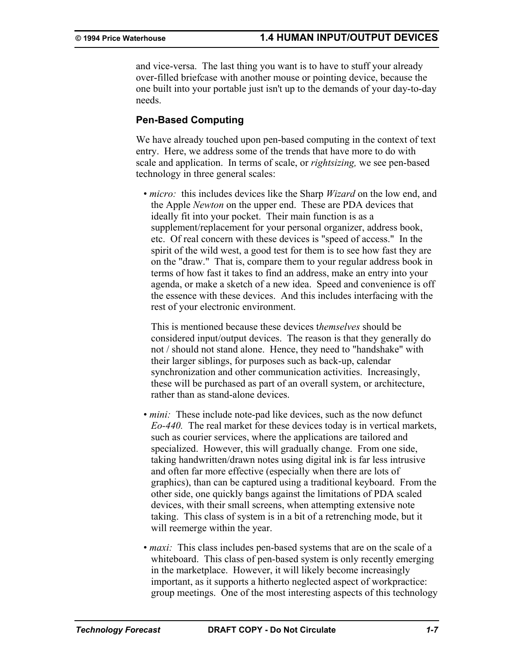and vice-versa. The last thing you want is to have to stuff your already over-filled briefcase with another mouse or pointing device, because the one built into your portable just isn't up to the demands of your day-to-day needs.

## **Pen-Based Computing**

We have already touched upon pen-based computing in the context of text entry. Here, we address some of the trends that have more to do with scale and application. In terms of scale, or *rightsizing,* we see pen-based technology in three general scales:

• *micro:* this includes devices like the Sharp *Wizard* on the low end, and the Apple *Newton* on the upper end. These are PDA devices that ideally fit into your pocket. Their main function is as a supplement/replacement for your personal organizer, address book, etc. Of real concern with these devices is "speed of access." In the spirit of the wild west, a good test for them is to see how fast they are on the "draw." That is, compare them to your regular address book in terms of how fast it takes to find an address, make an entry into your agenda, or make a sketch of a new idea. Speed and convenience is off the essence with these devices. And this includes interfacing with the rest of your electronic environment.

This is mentioned because these devices t*hemselves* should be considered input/output devices. The reason is that they generally do not / should not stand alone. Hence, they need to "handshake" with their larger siblings, for purposes such as back-up, calendar synchronization and other communication activities. Increasingly, these will be purchased as part of an overall system, or architecture, rather than as stand-alone devices.

- *mini*: These include note-pad like devices, such as the now defunct *Eo-440.* The real market for these devices today is in vertical markets, such as courier services, where the applications are tailored and specialized. However, this will gradually change. From one side, taking handwritten/drawn notes using digital ink is far less intrusive and often far more effective (especially when there are lots of graphics), than can be captured using a traditional keyboard. From the other side, one quickly bangs against the limitations of PDA scaled devices, with their small screens, when attempting extensive note taking. This class of system is in a bit of a retrenching mode, but it will reemerge within the year.
- *maxi:* This class includes pen-based systems that are on the scale of a whiteboard. This class of pen-based system is only recently emerging in the marketplace. However, it will likely become increasingly important, as it supports a hitherto neglected aspect of workpractice: group meetings. One of the most interesting aspects of this technology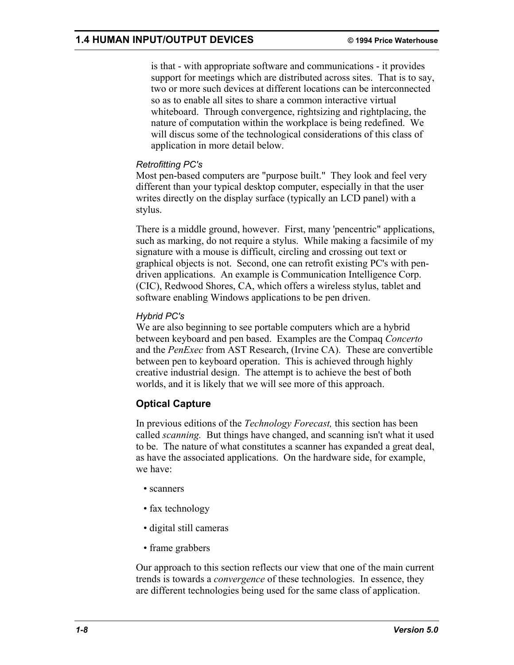is that - with appropriate software and communications - it provides support for meetings which are distributed across sites. That is to say, two or more such devices at different locations can be interconnected so as to enable all sites to share a common interactive virtual whiteboard. Through convergence, rightsizing and rightplacing, the nature of computation within the workplace is being redefined. We will discus some of the technological considerations of this class of application in more detail below.

### *Retrofitting PC's*

Most pen-based computers are "purpose built." They look and feel very different than your typical desktop computer, especially in that the user writes directly on the display surface (typically an LCD panel) with a stylus.

There is a middle ground, however. First, many 'pencentric" applications, such as marking, do not require a stylus. While making a facsimile of my signature with a mouse is difficult, circling and crossing out text or graphical objects is not. Second, one can retrofit existing PC's with pendriven applications. An example is Communication Intelligence Corp. (CIC), Redwood Shores, CA, which offers a wireless stylus, tablet and software enabling Windows applications to be pen driven.

## *Hybrid PC's*

We are also beginning to see portable computers which are a hybrid between keyboard and pen based. Examples are the Compaq *Concerto*  and the *PenExec* from AST Research, (Irvine CA). These are convertible between pen to keyboard operation. This is achieved through highly creative industrial design. The attempt is to achieve the best of both worlds, and it is likely that we will see more of this approach.

# **Optical Capture**

In previous editions of the *Technology Forecast,* this section has been called *scanning.* But things have changed, and scanning isn't what it used to be. The nature of what constitutes a scanner has expanded a great deal, as have the associated applications. On the hardware side, for example, we have:

- scanners
- fax technology
- digital still cameras
- frame grabbers

Our approach to this section reflects our view that one of the main current trends is towards a *convergence* of these technologies. In essence, they are different technologies being used for the same class of application.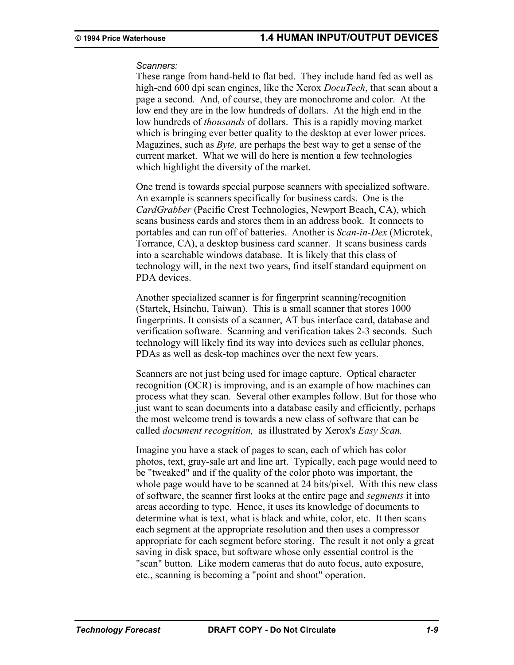#### *Scanners:*

These range from hand-held to flat bed. They include hand fed as well as high-end 600 dpi scan engines, like the Xerox *DocuTech*, that scan about a page a second. And, of course, they are monochrome and color. At the low end they are in the low hundreds of dollars. At the high end in the low hundreds of *thousands* of dollars. This is a rapidly moving market which is bringing ever better quality to the desktop at ever lower prices. Magazines, such as *Byte,* are perhaps the best way to get a sense of the current market. What we will do here is mention a few technologies which highlight the diversity of the market.

One trend is towards special purpose scanners with specialized software. An example is scanners specifically for business cards. One is the *CardGrabber* (Pacific Crest Technologies, Newport Beach, CA), which scans business cards and stores them in an address book. It connects to portables and can run off of batteries. Another is *Scan-in-Dex* (Microtek, Torrance, CA), a desktop business card scanner. It scans business cards into a searchable windows database. It is likely that this class of technology will, in the next two years, find itself standard equipment on PDA devices.

Another specialized scanner is for fingerprint scanning/recognition (Startek, Hsinchu, Taiwan). This is a small scanner that stores 1000 fingerprints. It consists of a scanner, AT bus interface card, database and verification software. Scanning and verification takes 2-3 seconds. Such technology will likely find its way into devices such as cellular phones, PDAs as well as desk-top machines over the next few years.

Scanners are not just being used for image capture. Optical character recognition (OCR) is improving, and is an example of how machines can process what they scan. Several other examples follow. But for those who just want to scan documents into a database easily and efficiently, perhaps the most welcome trend is towards a new class of software that can be called *document recognition,* as illustrated by Xerox's *Easy Scan.*

Imagine you have a stack of pages to scan, each of which has color photos, text, gray-sale art and line art. Typically, each page would need to be "tweaked" and if the quality of the color photo was important, the whole page would have to be scanned at 24 bits/pixel. With this new class of software, the scanner first looks at the entire page and *segments* it into areas according to type. Hence, it uses its knowledge of documents to determine what is text, what is black and white, color, etc. It then scans each segment at the appropriate resolution and then uses a compressor appropriate for each segment before storing. The result it not only a great saving in disk space, but software whose only essential control is the "scan" button. Like modern cameras that do auto focus, auto exposure, etc., scanning is becoming a "point and shoot" operation.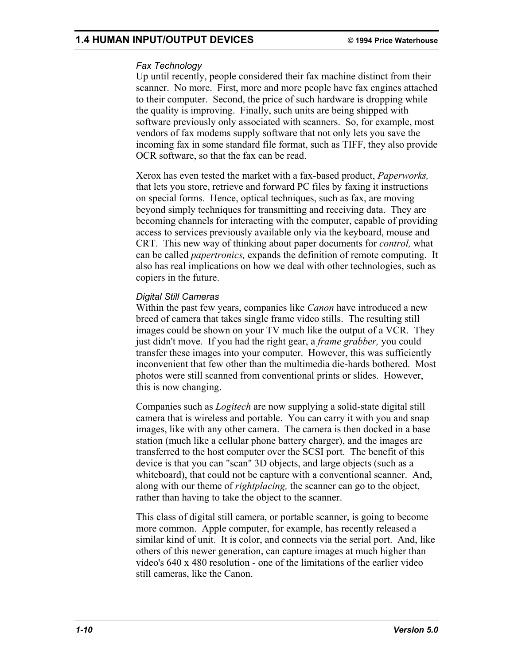## **1.4 HUMAN INPUT/OUTPUT DEVICES © 1994 Price Waterhouse**

### *Fax Technology*

Up until recently, people considered their fax machine distinct from their scanner. No more. First, more and more people have fax engines attached to their computer. Second, the price of such hardware is dropping while the quality is improving. Finally, such units are being shipped with software previously only associated with scanners. So, for example, most vendors of fax modems supply software that not only lets you save the incoming fax in some standard file format, such as TIFF, they also provide OCR software, so that the fax can be read.

Xerox has even tested the market with a fax-based product, *Paperworks,* that lets you store, retrieve and forward PC files by faxing it instructions on special forms. Hence, optical techniques, such as fax, are moving beyond simply techniques for transmitting and receiving data. They are becoming channels for interacting with the computer, capable of providing access to services previously available only via the keyboard, mouse and CRT. This new way of thinking about paper documents for *control,* what can be called *papertronics,* expands the definition of remote computing. It also has real implications on how we deal with other technologies, such as copiers in the future.

### *Digital Still Cameras*

Within the past few years, companies like *Canon* have introduced a new breed of camera that takes single frame video stills. The resulting still images could be shown on your TV much like the output of a VCR. They just didn't move. If you had the right gear, a *frame grabber,* you could transfer these images into your computer. However, this was sufficiently inconvenient that few other than the multimedia die-hards bothered. Most photos were still scanned from conventional prints or slides. However, this is now changing.

Companies such as *Logitech* are now supplying a solid-state digital still camera that is wireless and portable. You can carry it with you and snap images, like with any other camera. The camera is then docked in a base station (much like a cellular phone battery charger), and the images are transferred to the host computer over the SCSI port. The benefit of this device is that you can "scan" 3D objects, and large objects (such as a whiteboard), that could not be capture with a conventional scanner. And, along with our theme of *rightplacing,* the scanner can go to the object, rather than having to take the object to the scanner.

This class of digital still camera, or portable scanner, is going to become more common. Apple computer, for example, has recently released a similar kind of unit. It is color, and connects via the serial port. And, like others of this newer generation, can capture images at much higher than video's 640 x 480 resolution - one of the limitations of the earlier video still cameras, like the Canon.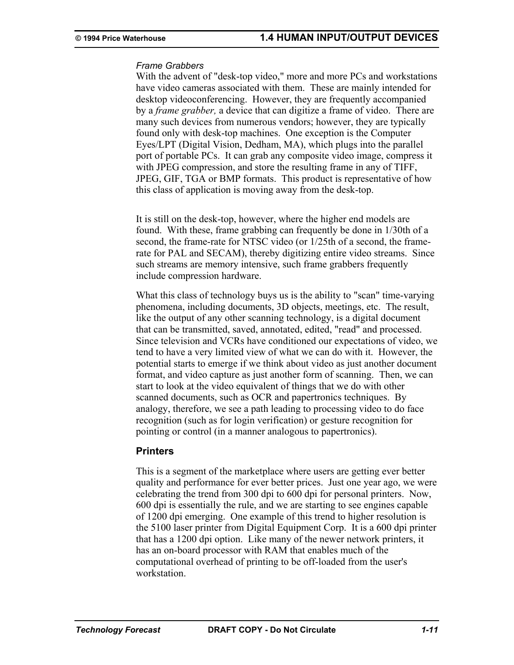#### *Frame Grabbers*

With the advent of "desk-top video," more and more PCs and workstations have video cameras associated with them. These are mainly intended for desktop videoconferencing. However, they are frequently accompanied by a *frame grabber,* a device that can digitize a frame of video. There are many such devices from numerous vendors; however, they are typically found only with desk-top machines. One exception is the Computer Eyes/LPT (Digital Vision, Dedham, MA), which plugs into the parallel port of portable PCs. It can grab any composite video image, compress it with JPEG compression, and store the resulting frame in any of TIFF, JPEG, GIF, TGA or BMP formats. This product is representative of how this class of application is moving away from the desk-top.

It is still on the desk-top, however, where the higher end models are found. With these, frame grabbing can frequently be done in 1/30th of a second, the frame-rate for NTSC video (or 1/25th of a second, the framerate for PAL and SECAM), thereby digitizing entire video streams. Since such streams are memory intensive, such frame grabbers frequently include compression hardware.

What this class of technology buys us is the ability to "scan" time-varying phenomena, including documents, 3D objects, meetings, etc. The result, like the output of any other scanning technology, is a digital document that can be transmitted, saved, annotated, edited, "read" and processed. Since television and VCRs have conditioned our expectations of video, we tend to have a very limited view of what we can do with it. However, the potential starts to emerge if we think about video as just another document format, and video capture as just another form of scanning. Then, we can start to look at the video equivalent of things that we do with other scanned documents, such as OCR and papertronics techniques. By analogy, therefore, we see a path leading to processing video to do face recognition (such as for login verification) or gesture recognition for pointing or control (in a manner analogous to papertronics).

### **Printers**

This is a segment of the marketplace where users are getting ever better quality and performance for ever better prices. Just one year ago, we were celebrating the trend from 300 dpi to 600 dpi for personal printers. Now, 600 dpi is essentially the rule, and we are starting to see engines capable of 1200 dpi emerging. One example of this trend to higher resolution is the 5100 laser printer from Digital Equipment Corp. It is a 600 dpi printer that has a 1200 dpi option. Like many of the newer network printers, it has an on-board processor with RAM that enables much of the computational overhead of printing to be off-loaded from the user's workstation.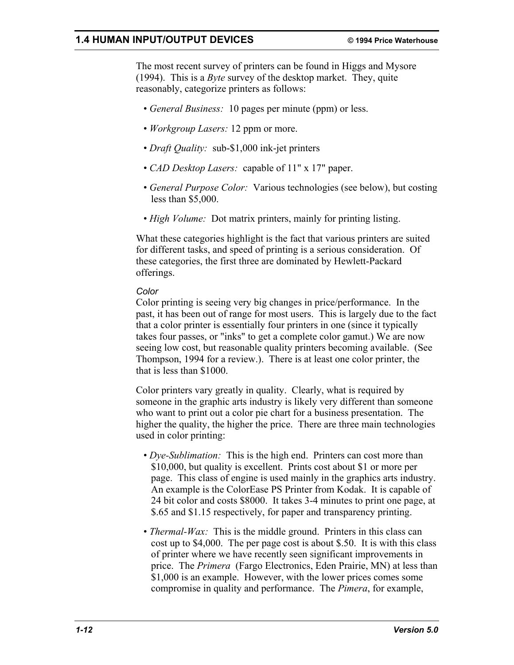## **1.4 HUMAN INPUT/OUTPUT DEVICES © 1994 Price Waterhouse**

The most recent survey of printers can be found in Higgs and Mysore (1994). This is a *Byte* survey of the desktop market. They, quite reasonably, categorize printers as follows:

- *General Business:* 10 pages per minute (ppm) or less.
- *Workgroup Lasers:* 12 ppm or more.
- *Draft Quality:* sub-\$1,000 ink-jet printers
- *CAD Desktop Lasers:* capable of 11" x 17" paper.
- *General Purpose Color:* Various technologies (see below), but costing less than \$5,000.
- *High Volume:* Dot matrix printers, mainly for printing listing.

What these categories highlight is the fact that various printers are suited for different tasks, and speed of printing is a serious consideration. Of these categories, the first three are dominated by Hewlett-Packard offerings.

### *Color*

Color printing is seeing very big changes in price/performance. In the past, it has been out of range for most users. This is largely due to the fact that a color printer is essentially four printers in one (since it typically takes four passes, or "inks" to get a complete color gamut.) We are now seeing low cost, but reasonable quality printers becoming available. (See Thompson, 1994 for a review.). There is at least one color printer, the that is less than \$1000.

Color printers vary greatly in quality. Clearly, what is required by someone in the graphic arts industry is likely very different than someone who want to print out a color pie chart for a business presentation. The higher the quality, the higher the price. There are three main technologies used in color printing:

- *Dye-Sublimation:* This is the high end. Printers can cost more than \$10,000, but quality is excellent. Prints cost about \$1 or more per page. This class of engine is used mainly in the graphics arts industry. An example is the ColorEase PS Printer from Kodak. It is capable of 24 bit color and costs \$8000. It takes 3-4 minutes to print one page, at \$.65 and \$1.15 respectively, for paper and transparency printing.
- *Thermal-Wax:* This is the middle ground. Printers in this class can cost up to \$4,000. The per page cost is about \$.50. It is with this class of printer where we have recently seen significant improvements in price. The *Primera* (Fargo Electronics, Eden Prairie, MN) at less than \$1,000 is an example. However, with the lower prices comes some compromise in quality and performance. The *Pimera*, for example,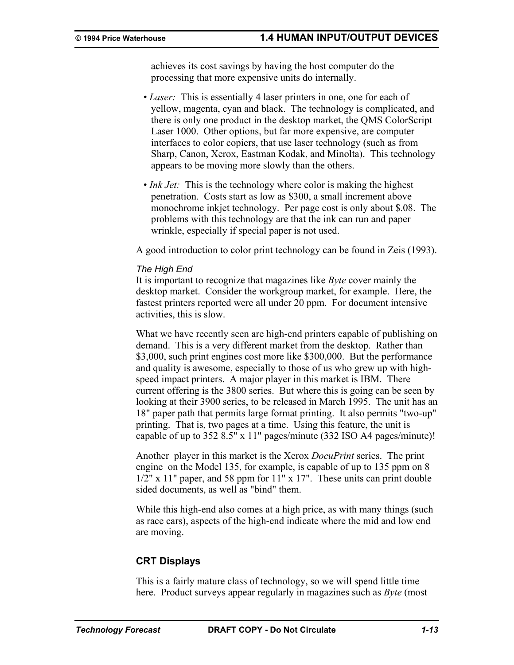achieves its cost savings by having the host computer do the processing that more expensive units do internally.

- *Laser:* This is essentially 4 laser printers in one, one for each of yellow, magenta, cyan and black. The technology is complicated, and there is only one product in the desktop market, the QMS ColorScript Laser 1000. Other options, but far more expensive, are computer interfaces to color copiers, that use laser technology (such as from Sharp, Canon, Xerox, Eastman Kodak, and Minolta). This technology appears to be moving more slowly than the others.
- *Ink Jet:* This is the technology where color is making the highest penetration. Costs start as low as \$300, a small increment above monochrome inkjet technology. Per page cost is only about \$.08. The problems with this technology are that the ink can run and paper wrinkle, especially if special paper is not used.

A good introduction to color print technology can be found in Zeis (1993).

#### *The High End*

It is important to recognize that magazines like *Byte* cover mainly the desktop market. Consider the workgroup market, for example. Here, the fastest printers reported were all under 20 ppm. For document intensive activities, this is slow.

What we have recently seen are high-end printers capable of publishing on demand. This is a very different market from the desktop. Rather than \$3,000, such print engines cost more like \$300,000. But the performance and quality is awesome, especially to those of us who grew up with highspeed impact printers. A major player in this market is IBM. There current offering is the 3800 series. But where this is going can be seen by looking at their 3900 series, to be released in March 1995. The unit has an 18" paper path that permits large format printing. It also permits "two-up" printing. That is, two pages at a time. Using this feature, the unit is capable of up to 352 8.5" x 11" pages/minute (332 ISO A4 pages/minute)!

Another player in this market is the Xerox *DocuPrint* series. The print engine on the Model 135, for example, is capable of up to 135 ppm on 8 1/2" x 11" paper, and 58 ppm for 11" x 17". These units can print double sided documents, as well as "bind" them.

While this high-end also comes at a high price, as with many things (such as race cars), aspects of the high-end indicate where the mid and low end are moving.

### **CRT Displays**

This is a fairly mature class of technology, so we will spend little time here. Product surveys appear regularly in magazines such as *Byte* (most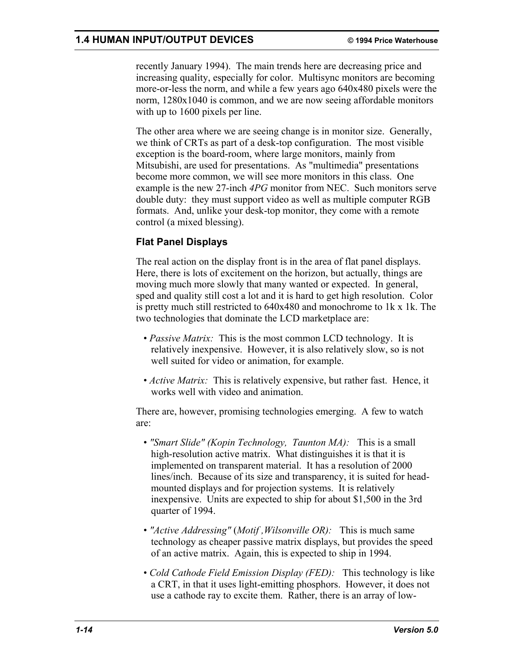recently January 1994). The main trends here are decreasing price and increasing quality, especially for color. Multisync monitors are becoming more-or-less the norm, and while a few years ago 640x480 pixels were the norm, 1280x1040 is common, and we are now seeing affordable monitors with up to 1600 pixels per line.

The other area where we are seeing change is in monitor size. Generally, we think of CRTs as part of a desk-top configuration. The most visible exception is the board-room, where large monitors, mainly from Mitsubishi, are used for presentations. As "multimedia" presentations become more common, we will see more monitors in this class. One example is the new 27-inch *4PG* monitor from NEC. Such monitors serve double duty: they must support video as well as multiple computer RGB formats. And, unlike your desk-top monitor, they come with a remote control (a mixed blessing).

# **Flat Panel Displays**

The real action on the display front is in the area of flat panel displays. Here, there is lots of excitement on the horizon, but actually, things are moving much more slowly that many wanted or expected. In general, sped and quality still cost a lot and it is hard to get high resolution. Color is pretty much still restricted to 640x480 and monochrome to 1k x 1k. The two technologies that dominate the LCD marketplace are:

- *Passive Matrix:* This is the most common LCD technology. It is relatively inexpensive. However, it is also relatively slow, so is not well suited for video or animation, for example.
- *Active Matrix:* This is relatively expensive, but rather fast. Hence, it works well with video and animation.

There are, however, promising technologies emerging. A few to watch are:

- *"Smart Slide" (Kopin Technology, Taunton MA):* This is a small high-resolution active matrix. What distinguishes it is that it is implemented on transparent material. It has a resolution of 2000 lines/inch. Because of its size and transparency, it is suited for headmounted displays and for projection systems. It is relatively inexpensive. Units are expected to ship for about \$1,500 in the 3rd quarter of 1994.
- *"Active Addressing"* (*Motif ,Wilsonville OR):* This is much same technology as cheaper passive matrix displays, but provides the speed of an active matrix. Again, this is expected to ship in 1994.
- *Cold Cathode Field Emission Display (FED):* This technology is like a CRT, in that it uses light-emitting phosphors. However, it does not use a cathode ray to excite them. Rather, there is an array of low-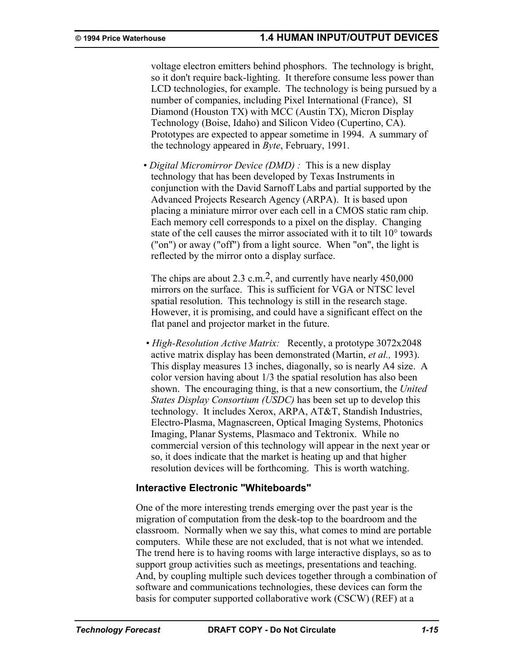voltage electron emitters behind phosphors. The technology is bright, so it don't require back-lighting. It therefore consume less power than LCD technologies, for example. The technology is being pursued by a number of companies, including Pixel International (France), SI Diamond (Houston TX) with MCC (Austin TX), Micron Display Technology (Boise, Idaho) and Silicon Video (Cupertino, CA). Prototypes are expected to appear sometime in 1994. A summary of the technology appeared in *Byte*, February, 1991.

• *Digital Micromirror Device (DMD) :* This is a new display technology that has been developed by Texas Instruments in conjunction with the David Sarnoff Labs and partial supported by the Advanced Projects Research Agency (ARPA). It is based upon placing a miniature mirror over each cell in a CMOS static ram chip. Each memory cell corresponds to a pixel on the display. Changing state of the cell causes the mirror associated with it to tilt 10° towards ("on") or away ("off") from a light source. When "on", the light is reflected by the mirror onto a display surface.

The chips are about 2.3 c.m.<sup>2</sup>, and currently have nearly  $450,000$ mirrors on the surface. This is sufficient for VGA or NTSC level spatial resolution. This technology is still in the research stage. However, it is promising, and could have a significant effect on the flat panel and projector market in the future.

 • *High-Resolution Active Matrix:* Recently, a prototype 3072x2048 active matrix display has been demonstrated (Martin, *et al.,* 1993). This display measures 13 inches, diagonally, so is nearly A4 size. A color version having about 1/3 the spatial resolution has also been shown. The encouraging thing, is that a new consortium, the *United States Display Consortium (USDC)* has been set up to develop this technology. It includes Xerox, ARPA, AT&T, Standish Industries, Electro-Plasma, Magnascreen, Optical Imaging Systems, Photonics Imaging, Planar Systems, Plasmaco and Tektronix. While no commercial version of this technology will appear in the next year or so, it does indicate that the market is heating up and that higher resolution devices will be forthcoming. This is worth watching.

## **Interactive Electronic "Whiteboards"**

One of the more interesting trends emerging over the past year is the migration of computation from the desk-top to the boardroom and the classroom. Normally when we say this, what comes to mind are portable computers. While these are not excluded, that is not what we intended. The trend here is to having rooms with large interactive displays, so as to support group activities such as meetings, presentations and teaching. And, by coupling multiple such devices together through a combination of software and communications technologies, these devices can form the basis for computer supported collaborative work (CSCW) (REF) at a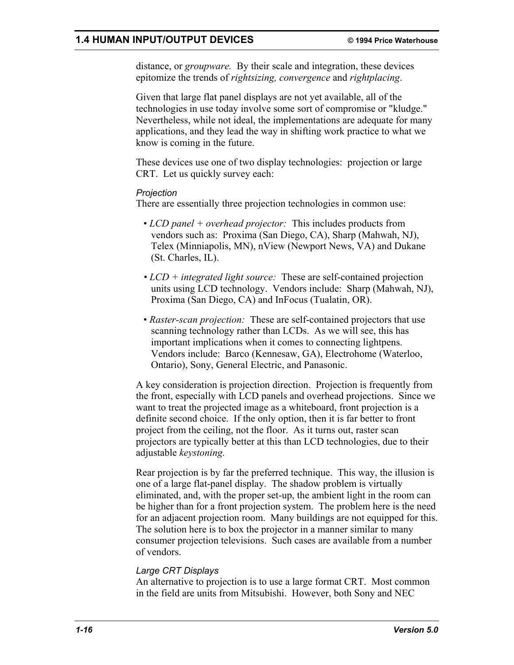## **1.4 HUMAN INPUT/OUTPUT DEVICES © 1994 Price Waterhouse**

distance, or *groupware.* By their scale and integration, these devices epitomize the trends of *rightsizing, convergence* and *rightplacing*.

Given that large flat panel displays are not yet available, all of the technologies in use today involve some sort of compromise or "kludge." Nevertheless, while not ideal, the implementations are adequate for many applications, and they lead the way in shifting work practice to what we know is coming in the future.

These devices use one of two display technologies: projection or large CRT. Let us quickly survey each:

#### *Projection*

There are essentially three projection technologies in common use:

- *LCD panel + overhead projector:* This includes products from vendors such as: Proxima (San Diego, CA), Sharp (Mahwah, NJ), Telex (Minniapolis, MN), nView (Newport News, VA) and Dukane (St. Charles, IL).
- *LCD + integrated light source:* These are self-contained projection units using LCD technology. Vendors include: Sharp (Mahwah, NJ), Proxima (San Diego, CA) and InFocus (Tualatin, OR).
- *Raster-scan projection:* These are self-contained projectors that use scanning technology rather than LCDs. As we will see, this has important implications when it comes to connecting lightpens. Vendors include: Barco (Kennesaw, GA), Electrohome (Waterloo, Ontario), Sony, General Electric, and Panasonic.

A key consideration is projection direction. Projection is frequently from the front, especially with LCD panels and overhead projections. Since we want to treat the projected image as a whiteboard, front projection is a definite second choice. If the only option, then it is far better to front project from the ceiling, not the floor. As it turns out, raster scan projectors are typically better at this than LCD technologies, due to their adjustable *keystoning.*

Rear projection is by far the preferred technique. This way, the illusion is one of a large flat-panel display. The shadow problem is virtually eliminated, and, with the proper set-up, the ambient light in the room can be higher than for a front projection system. The problem here is the need for an adjacent projection room. Many buildings are not equipped for this. The solution here is to box the projector in a manner similar to many consumer projection televisions. Such cases are available from a number of vendors.

### *Large CRT Displays*

An alternative to projection is to use a large format CRT. Most common in the field are units from Mitsubishi. However, both Sony and NEC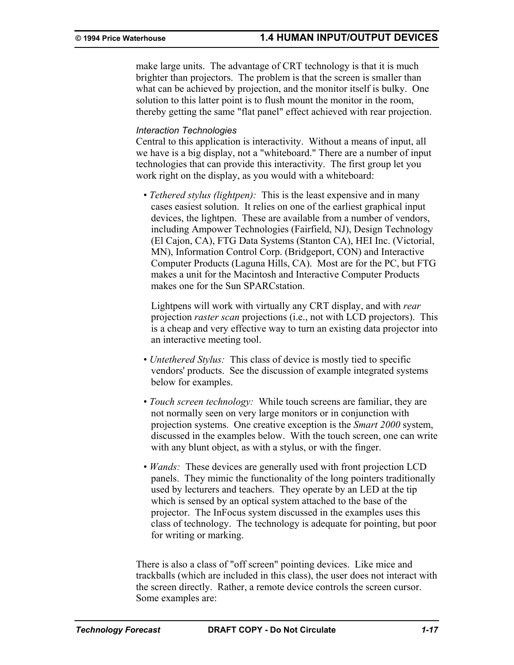make large units. The advantage of CRT technology is that it is much brighter than projectors. The problem is that the screen is smaller than what can be achieved by projection, and the monitor itself is bulky. One solution to this latter point is to flush mount the monitor in the room, thereby getting the same "flat panel" effect achieved with rear projection.

#### *Interaction Technologies*

Central to this application is interactivity. Without a means of input, all we have is a big display, not a "whiteboard." There are a number of input technologies that can provide this interactivity. The first group let you work right on the display, as you would with a whiteboard:

• *Tethered stylus (lightpen):* This is the least expensive and in many cases easiest solution. It relies on one of the earliest graphical input devices, the lightpen. These are available from a number of vendors, including Ampower Technologies (Fairfield, NJ), Design Technology (El Cajon, CA), FTG Data Systems (Stanton CA), HEI Inc. (Victorial, MN), Information Control Corp. (Bridgeport, CON) and Interactive Computer Products (Laguna Hills, CA). Most are for the PC, but FTG makes a unit for the Macintosh and Interactive Computer Products makes one for the Sun SPARCstation.

Lightpens will work with virtually any CRT display, and with *rear* projection *raster scan* projections (i.e., not with LCD projectors). This is a cheap and very effective way to turn an existing data projector into an interactive meeting tool.

- *Untethered Stylus:* This class of device is mostly tied to specific vendors' products. See the discussion of example integrated systems below for examples.
- *Touch screen technology:* While touch screens are familiar, they are not normally seen on very large monitors or in conjunction with projection systems. One creative exception is the *Smart 2000* system, discussed in the examples below. With the touch screen, one can write with any blunt object, as with a stylus, or with the finger.
- *Wands:* These devices are generally used with front projection LCD panels. They mimic the functionality of the long pointers traditionally used by lecturers and teachers. They operate by an LED at the tip which is sensed by an optical system attached to the base of the projector. The InFocus system discussed in the examples uses this class of technology. The technology is adequate for pointing, but poor for writing or marking.

There is also a class of "off screen" pointing devices. Like mice and trackballs (which are included in this class), the user does not interact with the screen directly. Rather, a remote device controls the screen cursor. Some examples are: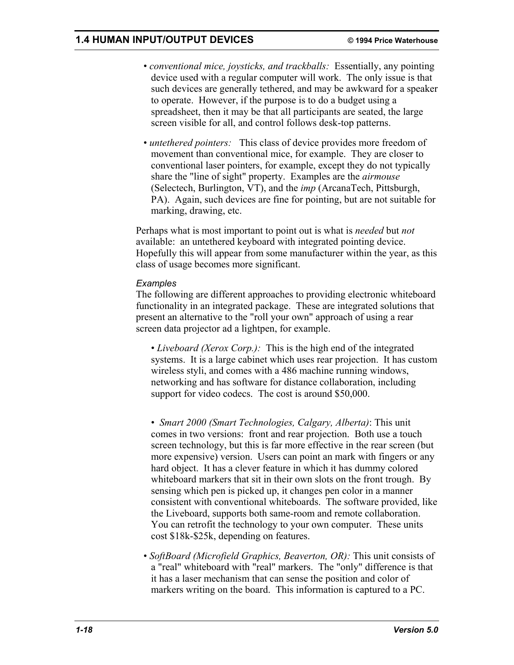- *conventional mice, joysticks, and trackballs:* Essentially, any pointing device used with a regular computer will work. The only issue is that such devices are generally tethered, and may be awkward for a speaker to operate. However, if the purpose is to do a budget using a spreadsheet, then it may be that all participants are seated, the large screen visible for all, and control follows desk-top patterns.
- *untethered pointers:* This class of device provides more freedom of movement than conventional mice, for example. They are closer to conventional laser pointers, for example, except they do not typically share the "line of sight" property. Examples are the *airmouse*  (Selectech, Burlington, VT), and the *imp* (ArcanaTech, Pittsburgh, PA). Again, such devices are fine for pointing, but are not suitable for marking, drawing, etc.

Perhaps what is most important to point out is what is *needed* but *not* available: an untethered keyboard with integrated pointing device. Hopefully this will appear from some manufacturer within the year, as this class of usage becomes more significant.

### *Examples*

The following are different approaches to providing electronic whiteboard functionality in an integrated package. These are integrated solutions that present an alternative to the "roll your own" approach of using a rear screen data projector ad a lightpen, for example.

 • *Liveboard (Xerox Corp.):* This is the high end of the integrated systems. It is a large cabinet which uses rear projection. It has custom wireless styli, and comes with a 486 machine running windows, networking and has software for distance collaboration, including support for video codecs. The cost is around \$50,000.

 • *Smart 2000 (Smart Technologies, Calgary, Alberta)*: This unit comes in two versions: front and rear projection. Both use a touch screen technology, but this is far more effective in the rear screen (but more expensive) version. Users can point an mark with fingers or any hard object. It has a clever feature in which it has dummy colored whiteboard markers that sit in their own slots on the front trough. By sensing which pen is picked up, it changes pen color in a manner consistent with conventional whiteboards. The software provided, like the Liveboard, supports both same-room and remote collaboration. You can retrofit the technology to your own computer. These units cost \$18k-\$25k, depending on features.

• *SoftBoard (Microfield Graphics, Beaverton, OR):* This unit consists of a "real" whiteboard with "real" markers. The "only" difference is that it has a laser mechanism that can sense the position and color of markers writing on the board. This information is captured to a PC.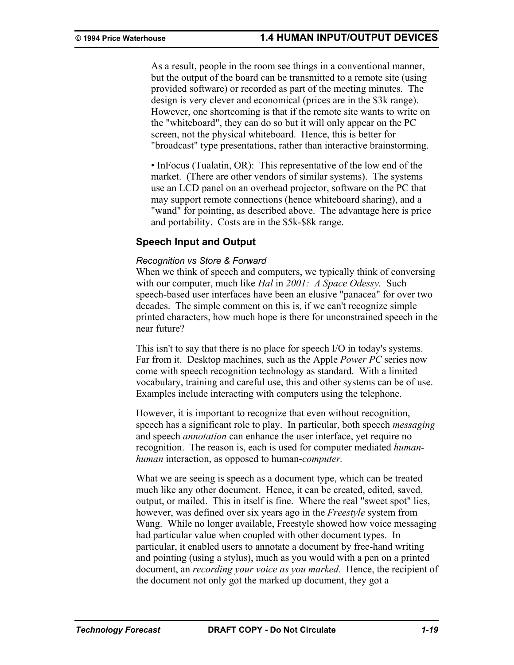As a result, people in the room see things in a conventional manner, but the output of the board can be transmitted to a remote site (using provided software) or recorded as part of the meeting minutes. The design is very clever and economical (prices are in the \$3k range). However, one shortcoming is that if the remote site wants to write on the "whiteboard", they can do so but it will only appear on the PC screen, not the physical whiteboard. Hence, this is better for "broadcast" type presentations, rather than interactive brainstorming.

• InFocus (Tualatin, OR): This representative of the low end of the market. (There are other vendors of similar systems). The systems use an LCD panel on an overhead projector, software on the PC that may support remote connections (hence whiteboard sharing), and a "wand" for pointing, as described above. The advantage here is price and portability. Costs are in the \$5k-\$8k range.

## **Speech Input and Output**

#### *Recognition vs Store & Forward*

When we think of speech and computers, we typically think of conversing with our computer, much like *Hal* in *2001: A Space Odessy.* Such speech-based user interfaces have been an elusive "panacea" for over two decades. The simple comment on this is, if we can't recognize simple printed characters, how much hope is there for unconstrained speech in the near future?

This isn't to say that there is no place for speech I/O in today's systems. Far from it. Desktop machines, such as the Apple *Power PC* series now come with speech recognition technology as standard. With a limited vocabulary, training and careful use, this and other systems can be of use. Examples include interacting with computers using the telephone.

However, it is important to recognize that even without recognition, speech has a significant role to play. In particular, both speech *messaging* and speech *annotation* can enhance the user interface, yet require no recognition. The reason is, each is used for computer mediated *humanhuman* interaction, as opposed to human-*computer.*

What we are seeing is speech as a document type, which can be treated much like any other document. Hence, it can be created, edited, saved, output, or mailed. This in itself is fine. Where the real "sweet spot" lies, however, was defined over six years ago in the *Freestyle* system from Wang. While no longer available, Freestyle showed how voice messaging had particular value when coupled with other document types. In particular, it enabled users to annotate a document by free-hand writing and pointing (using a stylus), much as you would with a pen on a printed document, an *recording your voice as you marked.* Hence, the recipient of the document not only got the marked up document, they got a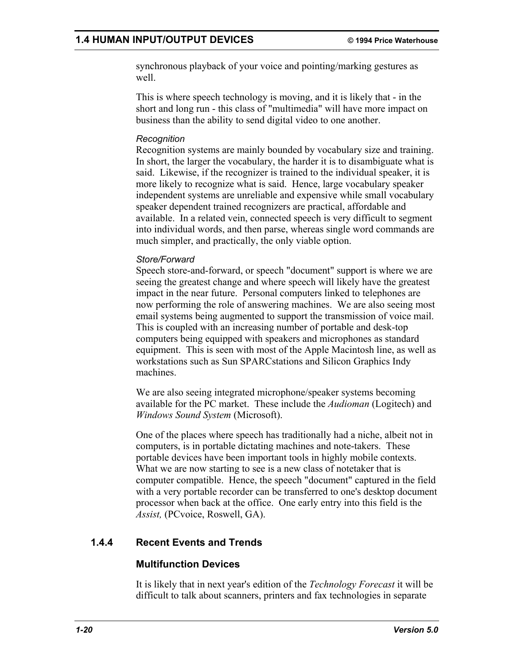synchronous playback of your voice and pointing/marking gestures as well.

This is where speech technology is moving, and it is likely that - in the short and long run - this class of "multimedia" will have more impact on business than the ability to send digital video to one another.

### *Recognition*

Recognition systems are mainly bounded by vocabulary size and training. In short, the larger the vocabulary, the harder it is to disambiguate what is said. Likewise, if the recognizer is trained to the individual speaker, it is more likely to recognize what is said. Hence, large vocabulary speaker independent systems are unreliable and expensive while small vocabulary speaker dependent trained recognizers are practical, affordable and available. In a related vein, connected speech is very difficult to segment into individual words, and then parse, whereas single word commands are much simpler, and practically, the only viable option.

## *Store/Forward*

Speech store-and-forward, or speech "document" support is where we are seeing the greatest change and where speech will likely have the greatest impact in the near future. Personal computers linked to telephones are now performing the role of answering machines. We are also seeing most email systems being augmented to support the transmission of voice mail. This is coupled with an increasing number of portable and desk-top computers being equipped with speakers and microphones as standard equipment. This is seen with most of the Apple Macintosh line, as well as workstations such as Sun SPARCstations and Silicon Graphics Indy machines.

We are also seeing integrated microphone/speaker systems becoming available for the PC market. These include the *Audioman* (Logitech) and *Windows Sound System* (Microsoft).

One of the places where speech has traditionally had a niche, albeit not in computers, is in portable dictating machines and note-takers. These portable devices have been important tools in highly mobile contexts. What we are now starting to see is a new class of notetaker that is computer compatible. Hence, the speech "document" captured in the field with a very portable recorder can be transferred to one's desktop document processor when back at the office. One early entry into this field is the *Assist,* (PCvoice, Roswell, GA).

# **1.4.4 Recent Events and Trends**

# **Multifunction Devices**

It is likely that in next year's edition of the *Technology Forecast* it will be difficult to talk about scanners, printers and fax technologies in separate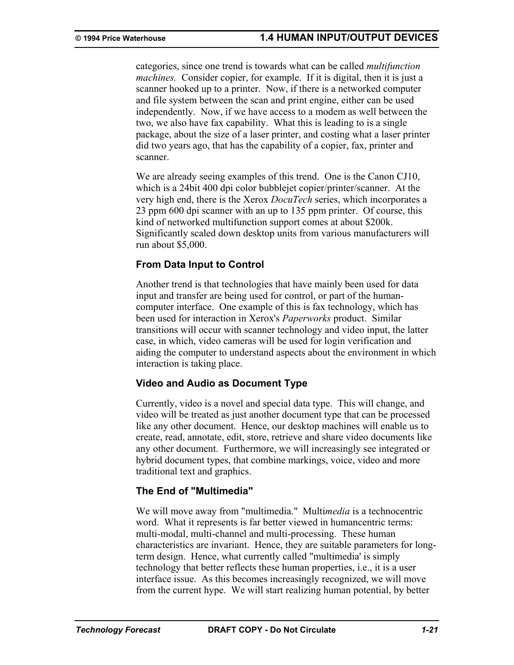categories, since one trend is towards what can be called *multifunction machines.* Consider copier, for example. If it is digital, then it is just a scanner hooked up to a printer. Now, if there is a networked computer and file system between the scan and print engine, either can be used independently. Now, if we have access to a modem as well between the two, we also have fax capability. What this is leading to is a single package, about the size of a laser printer, and costing what a laser printer did two years ago, that has the capability of a copier, fax, printer and scanner.

We are already seeing examples of this trend. One is the Canon CJ10, which is a 24bit 400 dpi color bubblejet copier/printer/scanner. At the very high end, there is the Xerox *DocuTech* series, which incorporates a 23 ppm 600 dpi scanner with an up to 135 ppm printer. Of course, this kind of networked multifunction support comes at about \$200k. Significantly scaled down desktop units from various manufacturers will run about \$5,000.

## **From Data Input to Control**

Another trend is that technologies that have mainly been used for data input and transfer are being used for control, or part of the humancomputer interface. One example of this is fax technology, which has been used for interaction in Xerox's *Paperworks* product. Similar transitions will occur with scanner technology and video input, the latter case, in which, video cameras will be used for login verification and aiding the computer to understand aspects about the environment in which interaction is taking place.

# **Video and Audio as Document Type**

Currently, video is a novel and special data type. This will change, and video will be treated as just another document type that can be processed like any other document. Hence, our desktop machines will enable us to create, read, annotate, edit, store, retrieve and share video documents like any other document. Furthermore, we will increasingly see integrated or hybrid document types, that combine markings, voice, video and more traditional text and graphics.

## **The End of "Multimedia"**

We will move away from "multimedia." Multi*media* is a technocentric word. What it represents is far better viewed in humancentric terms: multi-modal, multi-channel and multi-processing. These human characteristics are invariant. Hence, they are suitable parameters for longterm design. Hence, what currently called "multimedia' is simply technology that better reflects these human properties, i.e., it is a user interface issue. As this becomes increasingly recognized, we will move from the current hype. We will start realizing human potential, by better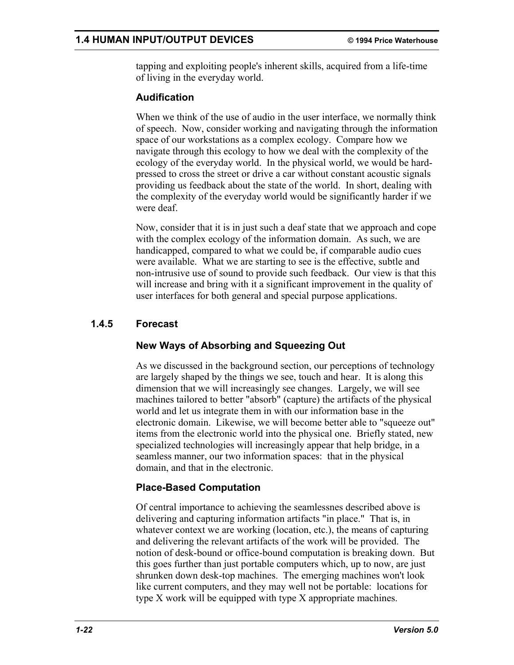tapping and exploiting people's inherent skills, acquired from a life-time of living in the everyday world.

# **Audification**

When we think of the use of audio in the user interface, we normally think of speech. Now, consider working and navigating through the information space of our workstations as a complex ecology. Compare how we navigate through this ecology to how we deal with the complexity of the ecology of the everyday world. In the physical world, we would be hardpressed to cross the street or drive a car without constant acoustic signals providing us feedback about the state of the world. In short, dealing with the complexity of the everyday world would be significantly harder if we were deaf.

Now, consider that it is in just such a deaf state that we approach and cope with the complex ecology of the information domain. As such, we are handicapped, compared to what we could be, if comparable audio cues were available. What we are starting to see is the effective, subtle and non-intrusive use of sound to provide such feedback. Our view is that this will increase and bring with it a significant improvement in the quality of user interfaces for both general and special purpose applications.

# **1.4.5 Forecast**

# **New Ways of Absorbing and Squeezing Out**

As we discussed in the background section, our perceptions of technology are largely shaped by the things we see, touch and hear. It is along this dimension that we will increasingly see changes. Largely, we will see machines tailored to better "absorb" (capture) the artifacts of the physical world and let us integrate them in with our information base in the electronic domain. Likewise, we will become better able to "squeeze out" items from the electronic world into the physical one. Briefly stated, new specialized technologies will increasingly appear that help bridge, in a seamless manner, our two information spaces: that in the physical domain, and that in the electronic.

# **Place-Based Computation**

Of central importance to achieving the seamlessnes described above is delivering and capturing information artifacts "in place." That is, in whatever context we are working (location, etc.), the means of capturing and delivering the relevant artifacts of the work will be provided. The notion of desk-bound or office-bound computation is breaking down. But this goes further than just portable computers which, up to now, are just shrunken down desk-top machines. The emerging machines won't look like current computers, and they may well not be portable: locations for type X work will be equipped with type X appropriate machines.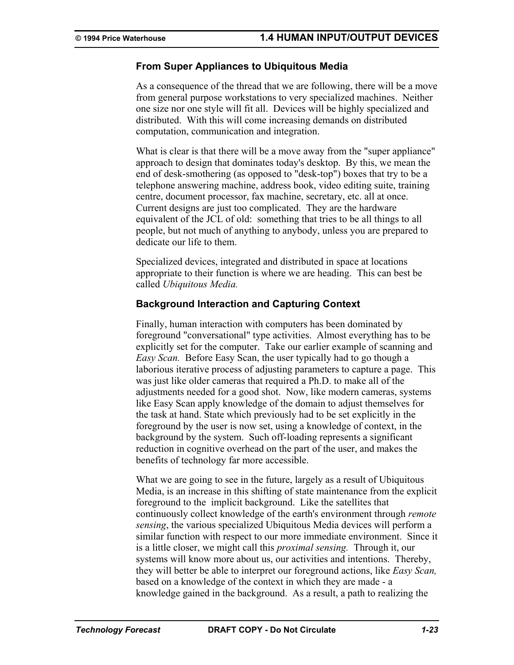### **From Super Appliances to Ubiquitous Media**

As a consequence of the thread that we are following, there will be a move from general purpose workstations to very specialized machines. Neither one size nor one style will fit all. Devices will be highly specialized and distributed. With this will come increasing demands on distributed computation, communication and integration.

What is clear is that there will be a move away from the "super appliance" approach to design that dominates today's desktop. By this, we mean the end of desk-smothering (as opposed to "desk-top") boxes that try to be a telephone answering machine, address book, video editing suite, training centre, document processor, fax machine, secretary, etc. all at once. Current designs are just too complicated. They are the hardware equivalent of the JCL of old: something that tries to be all things to all people, but not much of anything to anybody, unless you are prepared to dedicate our life to them.

Specialized devices, integrated and distributed in space at locations appropriate to their function is where we are heading. This can best be called *Ubiquitous Media.*

### **Background Interaction and Capturing Context**

Finally, human interaction with computers has been dominated by foreground "conversational" type activities. Almost everything has to be explicitly set for the computer. Take our earlier example of scanning and *Easy Scan.* Before Easy Scan, the user typically had to go though a laborious iterative process of adjusting parameters to capture a page. This was just like older cameras that required a Ph.D. to make all of the adjustments needed for a good shot. Now, like modern cameras, systems like Easy Scan apply knowledge of the domain to adjust themselves for the task at hand. State which previously had to be set explicitly in the foreground by the user is now set, using a knowledge of context, in the background by the system. Such off-loading represents a significant reduction in cognitive overhead on the part of the user, and makes the benefits of technology far more accessible.

What we are going to see in the future, largely as a result of Ubiquitous Media, is an increase in this shifting of state maintenance from the explicit foreground to the implicit background. Like the satellites that continuously collect knowledge of the earth's environment through *remote sensing*, the various specialized Ubiquitous Media devices will perform a similar function with respect to our more immediate environment. Since it is a little closer, we might call this *proximal sensing.* Through it, our systems will know more about us, our activities and intentions. Thereby, they will better be able to interpret our foreground actions, like *Easy Scan,* based on a knowledge of the context in which they are made - a knowledge gained in the background. As a result, a path to realizing the